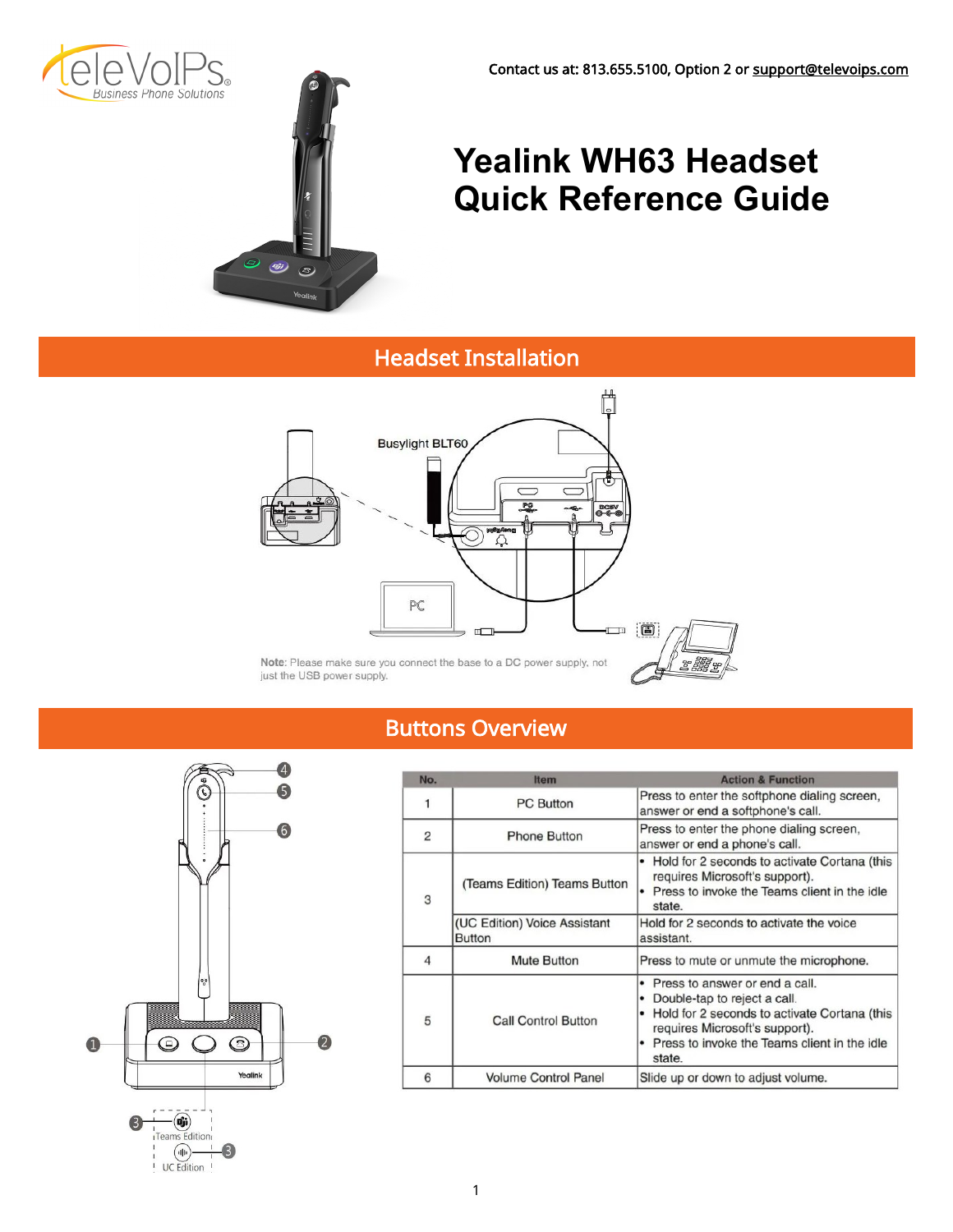



# **Yealink WH63 Headset Quick Reference Guide**

## Headset Installation



Note: Please make sure you connect the base to a DC power supply, not just the USB power supply.

## Buttons Overview



| No. | <b>Item</b>                                   | <b>Action &amp; Function</b>                                                                                                                                                                               |  |  |
|-----|-----------------------------------------------|------------------------------------------------------------------------------------------------------------------------------------------------------------------------------------------------------------|--|--|
|     | <b>PC Button</b>                              | Press to enter the softphone dialing screen,<br>answer or end a softphone's call.                                                                                                                          |  |  |
| 2   | <b>Phone Button</b>                           | Press to enter the phone dialing screen,<br>answer or end a phone's call.                                                                                                                                  |  |  |
| 3   | (Teams Edition) Teams Button                  | Hold for 2 seconds to activate Cortana (this<br>requires Microsoft's support).<br>Press to invoke the Teams client in the idle<br>٠<br>state.                                                              |  |  |
|     | (UC Edition) Voice Assistant<br><b>Button</b> | Hold for 2 seconds to activate the voice<br>assistant.                                                                                                                                                     |  |  |
| 4   | <b>Mute Button</b>                            | Press to mute or unmute the microphone.                                                                                                                                                                    |  |  |
| 5   | <b>Call Control Button</b>                    | Press to answer or end a call.<br>Double-tap to reject a call.<br>Hold for 2 seconds to activate Cortana (this<br>requires Microsoft's support).<br>Press to invoke the Teams client in the idle<br>state. |  |  |
| 6   | <b>Volume Control Panel</b>                   | Slide up or down to adjust volume.                                                                                                                                                                         |  |  |